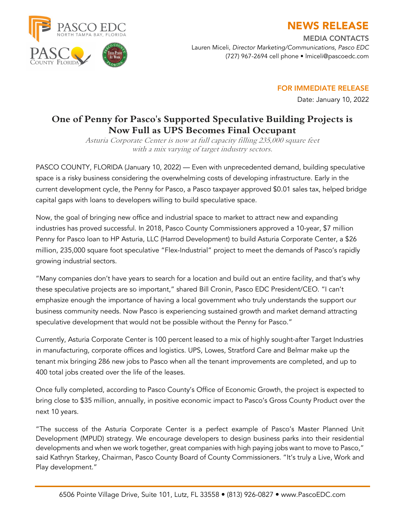NEWS RELEASE



MEDIA CONTACTS Lauren Miceli, *Director Marketing/Communications, Pasco EDC* (727) 967-2694 cell phone • lmiceli@pascoedc.com

FOR IMMEDIATE RELEASE

Date: January 10, 2022

## **One of Penny for Pasco's Supported Speculative Building Projects is Now Full as UPS Becomes Final Occupant**

Asturia Corporate Center is now at full capacity filling 235,000 square feet with a mix varying of target industry sectors.

PASCO COUNTY, FLORIDA (January 10, 2022) — Even with unprecedented demand, building speculative space is a risky business considering the overwhelming costs of developing infrastructure. Early in the current development cycle, the Penny for Pasco, a Pasco taxpayer approved \$0.01 sales tax, helped bridge capital gaps with loans to developers willing to build speculative space.

Now, the goal of bringing new office and industrial space to market to attract new and expanding industries has proved successful. In 2018, Pasco County Commissioners approved a 10-year, \$7 million Penny for Pasco loan to HP Asturia, LLC (Harrod Development) to build Asturia Corporate Center, a \$26 million, 235,000 square foot speculative "Flex-Industrial" project to meet the demands of Pasco's rapidly growing industrial sectors.

"Many companies don't have years to search for a location and build out an entire facility, and that's why these speculative projects are so important," shared Bill Cronin, Pasco EDC President/CEO. "I can't emphasize enough the importance of having a local government who truly understands the support our business community needs. Now Pasco is experiencing sustained growth and market demand attracting speculative development that would not be possible without the Penny for Pasco."

Currently, Asturia Corporate Center is 100 percent leased to a mix of highly sought-after Target Industries in manufacturing, corporate offices and logistics. UPS, Lowes, Stratford Care and Belmar make up the tenant mix bringing 286 new jobs to Pasco when all the tenant improvements are completed, and up to 400 total jobs created over the life of the leases.

Once fully completed, according to Pasco County's Office of Economic Growth, the project is expected to bring close to \$35 million, annually, in positive economic impact to Pasco's Gross County Product over the next 10 years.

"The success of the Asturia Corporate Center is a perfect example of Pasco's Master Planned Unit Development (MPUD) strategy. We encourage developers to design business parks into their residential developments and when we work together, great companies with high paying jobs want to move to Pasco," said Kathryn Starkey, Chairman, Pasco County Board of County Commissioners. "It's truly a Live, Work and Play development."